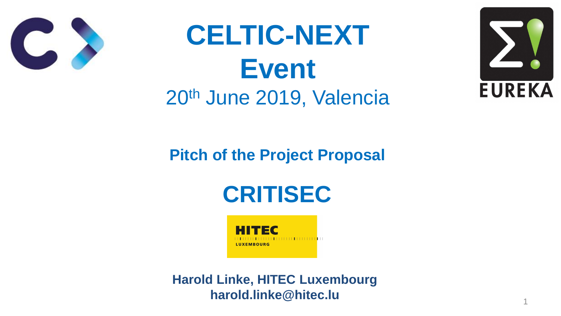### **Pitch of the Project Proposal**



## **CELTIC-NEXT Event** 20th June 2019, Valencia





#### **Harold Linke, HITEC Luxembourg harold.linke@hitec.lu** <sup>1</sup>



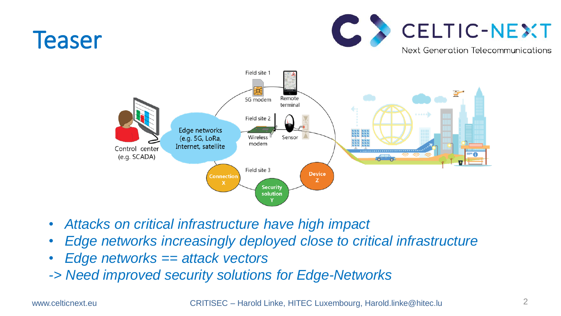



# • *Edge networks increasingly deployed close to critical infrastructure*

- *Attacks on critical infrastructure have high impact*
- 
- *Edge networks == attack vectors*
- *-> Need improved security solutions for Edge-Networks*

www.celticnext.eu CRITISEC – Harold Linke, HITEC Luxembourg, Harold.linke@hitec.lu

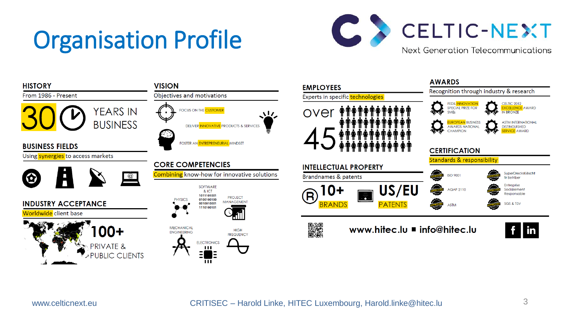### Organisation Profile







R<br>1808

www.hitec.lu = info@hitec.lu



www.celticnext.eu CRITISEC – Harold Linke, HITEC Luxembourg, Harold.linke@hitec.lu 3

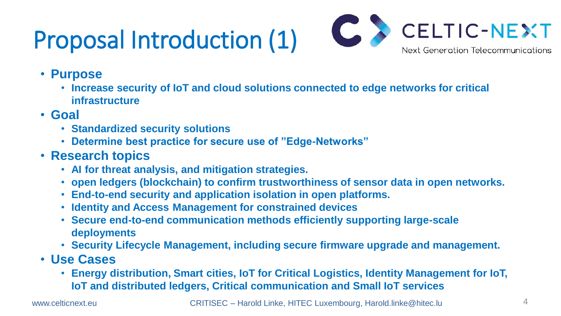### Proposal Introduction (1)



#### • **Increase security of IoT and cloud solutions connected to edge networks for critical**

- **Purpose**
	- **infrastructure**
- **Goal**
	- **Standardized security solutions**
	- **Determine best practice for secure use of "Edge-Networks"**
- **Research topics**
	- **AI for threat analysis, and mitigation strategies.**
	-
	- **open ledgers (blockchain) to confirm trustworthiness of sensor data in open networks.** • **End-to-end security and application isolation in open platforms.**
	- **Identity and Access Management for constrained devices**
	- **Secure end-to-end communication methods efficiently supporting large-scale deployments**
	-
- **Use Cases**
	- **IoT and distributed ledgers, Critical communication and Small IoT services**

www.celticnext.eu CRITISEC – Harold Linke, HITEC Luxembourg, Harold.linke@hitec.lu



• **Security Lifecycle Management, including secure firmware upgrade and management.**

### • **Energy distribution, Smart cities, IoT for Critical Logistics, Identity Management for IoT,**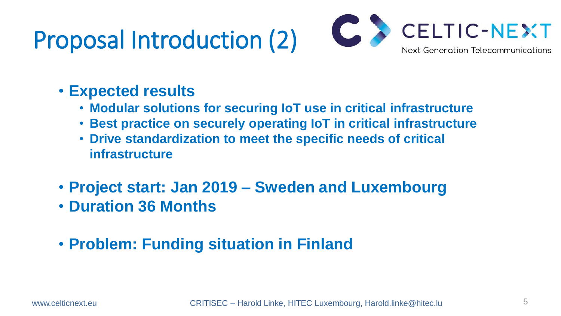## Proposal Introduction (2)

#### • **Expected results**

### • **Modular solutions for securing IoT use in critical infrastructure** • **Best practice on securely operating IoT in critical infrastructure**

www.celticnext.eu CRITISEC – Harold Linke, HITEC Luxembourg, Harold.linke@hitec.lu

- 
- 
- **Drive standardization to meet the specific needs of critical infrastructure**
- **Project start: Jan 2019 – Sweden and Luxembourg** • **Duration 36 Months**
- **Problem: Funding situation in Finland**

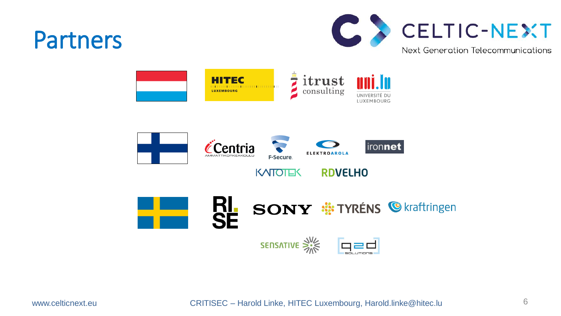### Partners











www.celticnext.eu CRITISEC – Harold Linke, HITEC Luxembourg, Harold.linke@hitec.lu 6











## **RL SONY #: TYRÉNS @ kraftringen**